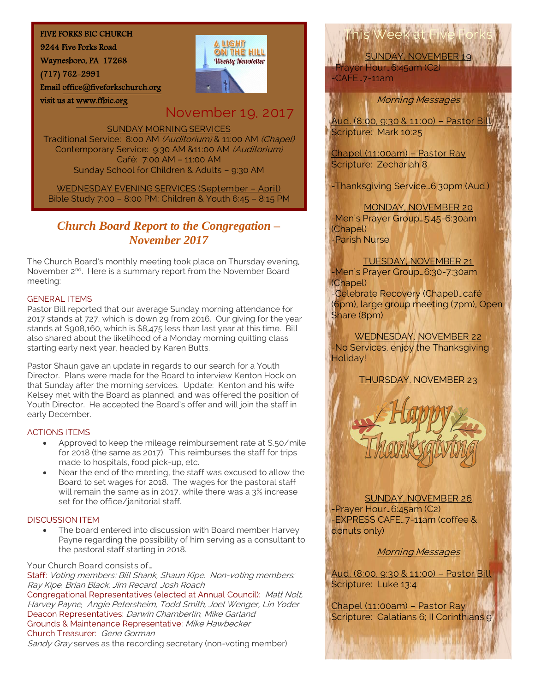#### FIVE FORKS BIC CHURCH

9244 Five Forks Road

Waynesboro, PA 17268

visit us at [www.ffbic.org](http://www.ffbic.org/) 

(717) 762-2991

Emai[l office@fiveforkschurch.org](mailto:office@fiveforkschurch.org) 

## A LIGHT ON THE HILL **Weekly Newsletter**

## November 19, 2017

SUNDAY MORNING SERVICES

Traditional Service: 8:00 AM (Auditorium) & 11:00 AM (Chapel) Contemporary Service: 9:30 AM &11:00 AM (Auditorium) Café: 7:00 AM – 11:00 AM Sunday School for Children & Adults – 9:30 AM

WEDNESDAY EVENING SERVICES (September – April) Bible Study 7:00 – 8:00 PM; Children & Youth 6:45 – 8:15 PM

### *Church Board Report to the Congregation – November 2017*

The Church Board's monthly meeting took place on Thursday evening, November 2<sup>nd</sup>. Here is a summary report from the November Board meeting:

#### GENERAL ITEMS

Pastor Bill reported that our average Sunday morning attendance for 2017 stands at 727, which is down 29 from 2016. Our giving for the year stands at \$908,160, which is \$8,475 less than last year at this time. Bill also shared about the likelihood of a Monday morning quilting class starting early next year, headed by Karen Butts.

Pastor Shaun gave an update in regards to our search for a Youth Director. Plans were made for the Board to interview Kenton Hock on that Sunday after the morning services. Update: Kenton and his wife Kelsey met with the Board as planned, and was offered the position of Youth Director. He accepted the Board's offer and will join the staff in early December.

#### ACTIONS ITEMS

- Approved to keep the mileage reimbursement rate at \$.50/mile for 2018 (the same as 2017). This reimburses the staff for trips made to hospitals, food pick-up, etc.
- Near the end of the meeting, the staff was excused to allow the Board to set wages for 2018. The wages for the pastoral staff will remain the same as in 2017, while there was a 3% increase set for the office/janitorial staff.

#### DISCUSSION ITEM

 The board entered into discussion with Board member Harvey Payne regarding the possibility of him serving as a consultant to the pastoral staff starting in 2018.

Your Church Board consists of…

Staff: Voting members: Bill Shank, Shaun Kipe. Non-voting members: Ray Kipe, Brian Black, Jim Recard, Josh Roach

Congregational Representatives (elected at Annual Council): Matt Nolt, Harvey Payne, Angie Petersheim, Todd Smith, Joel Wenger, Lin Yoder Deacon Representatives: Darwin Chamberlin, Mike Garland Grounds & Maintenance Representative: Mike Hawbecker Church Treasurer: Gene Gorman

Sandy Gray serves as the recording secretary (non-voting member)

# This Week at Five Forks

SUNDAY, NOVEMBER 19 Prayer Hour…6:45am (C2)  $-CAFE$ . 7-11am

Morning Messages

Aud. (8:00, 9:30 & 11:00) – Pastor Bill Scripture: Mark 10:25

Chapel (11:00am) – Pastor Ray Scripture: Zechariah 8

-Thanksgiving Service…6:30pm (Aud.)

#### MONDAY, NOVEMBER 20

-Men's Prayer Group…5:45-6:30am (Chapel) -Parish Nurse

TUESDAY, NOVEMBER 21 -Men's Prayer Group…6:30-7:30am (Chapel) -Celebrate Recovery (Chapel)…café (6pm), large group meeting (7pm), Open Share (8pm)

WEDNESDAY, NOVEMBER 22 -No Services, enjoy the Thanksgiving Holiday!

#### THURSDAY, NOVEMBER 23



SUNDAY, NOVEMBER 26 -Prayer Hour…6:45am (C2) -EXPRESS CAFE…7-11am (coffee & donuts only)

Morning Messages

Aud. (8:00, 9:30 & 11:00) – Pastor Bill Scripture: Luke 13:4

Chapel (11:00am) – Pastor Ray Scripture: Galatians 6; II Corinthians 9

LETTE CHE ANNOUNCE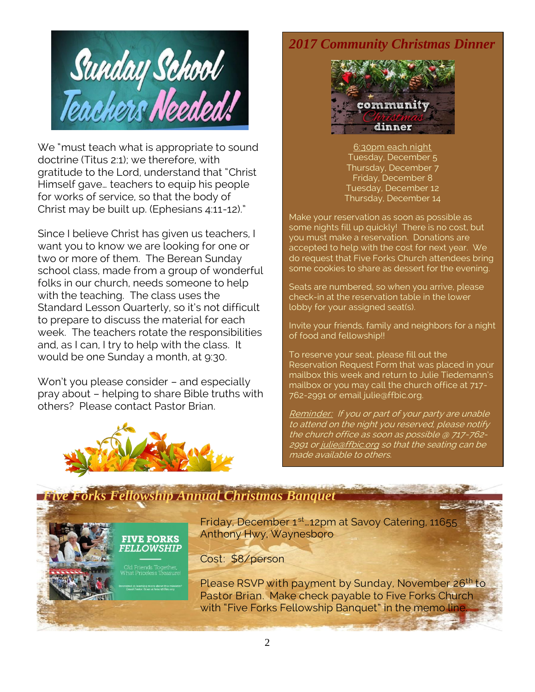

We "must teach what is appropriate to sound doctrine (Titus 2:1); we therefore, with gratitude to the Lord, understand that "Christ Himself gave… teachers to equip his people for works of service, so that the body of Christ may be built up. (Ephesians 4:11-12)."

Since I believe Christ has given us teachers, I want you to know we are looking for one or two or more of them. The Berean Sunday school class, made from a group of wonderful folks in our church, needs someone to help with the teaching. The class uses the Standard Lesson Quarterly, so it's not difficult to prepare to discuss the material for each week. The teachers rotate the responsibilities and, as I can, I try to help with the class. It would be one Sunday a month, at 9:30.

Won't you please consider – and especially pray about – helping to share Bible truths with others? Please contact Pastor Brian.



## *2017 Community Christmas Dinner*



6:30pm each night Tuesday, December 5 Thursday, December 7 Friday, December 8 Tuesday, December 12 Thursday, December 14

Make your reservation as soon as possible as some nights fill up quickly! There is no cost, but you must make a reservation. Donations are accepted to help with the cost for next year. We do request that Five Forks Church attendees bring some cookies to share as dessert for the evening.

Seats are numbered, so when you arrive, please check-in at the reservation table in the lower lobby for your assigned seat(s).

Invite your friends, family and neighbors for a night of food and fellowship!!

To reserve your seat, please fill out the Reservation Request Form that was placed in your mailbox this week and return to Julie Tiedemann's mailbox or you may call the church office at 717- 762-2991 or email julie@ffbic.org.

Reminder: If you or part of your party are unable to attend on the night you reserved, please notify the church office as soon as possible @ 717-762 2991 o[r julie@ffbic.org](mailto:julie@ffbic.org) so that the seating can be made available to others.

## *Five Forks Fellowship Annual Christmas Banquet*

**FIVE FORKS FELLOWSHIP** 

Friday, December 1<sup>st</sup> 12pm at Savoy Catering, 11655 Anthony Hwy, Waynesboro

Cost: \$8/person

Please RSVP with payment by Sunday, November 26<sup>th</sup> to Pastor Brian. Make check payable to Five Forks Church with "Five Forks Fellowship Banquet" in the memo line.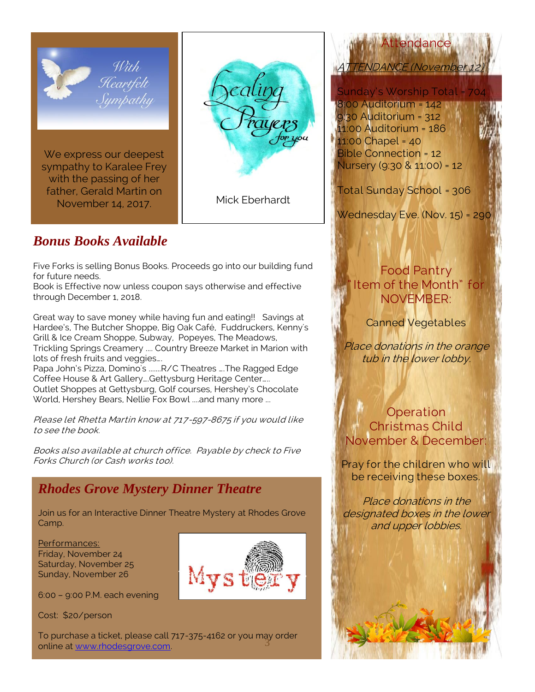

sympathy to Karalee Frey with the passing of her father, Gerald Martin on November 14, 2017.

Mick Eberhardt

## *Bonus Books Available*

Five Forks is selling Bonus Books. Proceeds go into our building fund for future needs.

Book is Effective now unless coupon says otherwise and effective through December 1, 2018.

Great way to save money while having fun and eating!! Savings at Hardee's, The Butcher Shoppe, Big Oak Café, Fuddruckers, Kenny's Grill & Ice Cream Shoppe, Subway, Popeyes, The Meadows, Trickling Springs Creamery .... Country Breeze Market in Marion with lots of fresh fruits and veggies…. Papa John's Pizza, Domino's .......R/C Theatres ….The Ragged Edge

Coffee House & Art Gallery….Gettysburg Heritage Center….. Outlet Shoppes at Gettysburg, Golf courses, Hershey's Chocolate World, Hershey Bears, Nellie Fox Bowl ....and many more ...

Please let Rhetta Martin know at 717-597-8675 if you would like to see the book.

Books also available at church office. Payable by check to Five Forks Church (or Cash works too).

## *Rhodes Grove Mystery Dinner Theatre*

Join us for an Interactive Dinner Theatre Mystery at Rhodes Grove Camp.

Performances: Friday, November 24 Saturday, November 25 Sunday, November 26

6:00 – 9:00 P.M. each evening

Cost: \$20/person

To purchase a ticket, please call 717-375-4162 or you may order<br>online at www.rhodesgrove.com online at [www.rhodesgrove.com.](http://www.rhodesgrove.com/)

Attendance TENDANCE (November

Sunday's Worship Total =

8:00 Auditorium = 142 9:30 Auditorium = 312 11:00 Auditorium = 186 11:00 Chapel = 40 Bible Connection = 12 Nursery (9:30 & 11:00) = 12

Total Sunday School = 306

Wednesday Eve. (Nov. 15) = 290

## Food Pantry Item of the Month" for NOVEMBER:

Canned Vegetables

Place donations in the orange tub in the lower lobby.

**Operation** Christmas Child November & December:

Pray for the children who will be receiving these boxes.

Place donations in the designated boxes in the lower and upper lobbies.

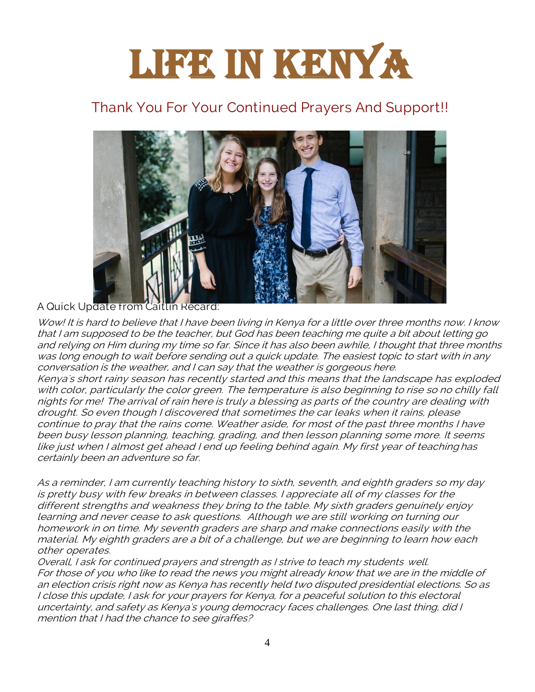# LIFE IN KENYA

## Thank You For Your Continued Prayers And Support!!



#### A Quick Update from Caitlin Recard:

Wow! It is hard to believe that I have been living in Kenya for a little over three months now. I know that I am supposed to be the teacher, but God has been teaching me quite a bit about letting go and relying on Him during my time so far. Since it has also been awhile, I thought that three months was long enough to wait before sending out a quick update. The easiest topic to start with in any conversation is the weather, and I can say that the weather is gorgeous here. Kenya's short rainy season has recently started and this means that the landscape has exploded with color, particularly the color green. The temperature is also beginning to rise so no chilly fall nights for me! The arrival of rain here is truly a blessing as parts of the country are dealing with drought. So even though I discovered that sometimes the car leaks when it rains, please continue to pray that the rains come. Weather aside, for most of the past three months I have been busy lesson planning, teaching, grading, and then lesson planning some more. It seems like just when I almost get ahead I end up feeling behind again. My first year of teaching has certainly been an adventure so far.

As a reminder, I am currently teaching history to sixth, seventh, and eighth graders so my day is pretty busy with few breaks in between classes. I appreciate all of my classes for the different strengths and weakness they bring to the table. My sixth graders genuinely enjoy learning and never cease to ask questions. Although we are still working on turning our homework in on time. My seventh graders are sharp and make connections easily with the material. My eighth graders are a bit of a challenge, but we are beginning to learn how each other operates.

Overall, I ask for continued prayers and strength as I strive to teach my students well. For those of you who like to read the news you might already know that we are in the middle of an election crisis right now as Kenya has recently held two disputed presidential elections. So as I close this update, I ask for your prayers for Kenya, for a peaceful solution to this electoral uncertainty, and safety as Kenya's young democracy faces challenges. One last thing, did I mention that I had the chance to see giraffes?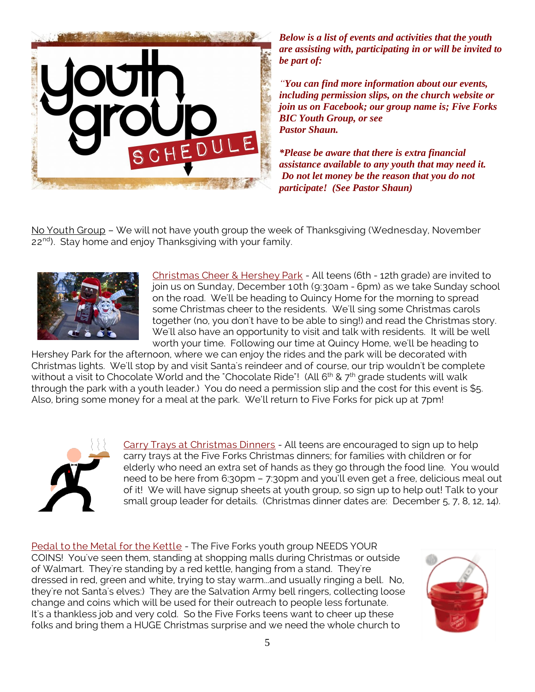

*Below is a list of events and activities that the youth are assisting with, participating in or will be invited to be part of:*

*"You can find more information about our events, including permission slips, on the church website or join us on Facebook; our group name is; Five Forks BIC Youth Group, or see Pastor Shaun.*

*\*Please be aware that there is extra financial assistance available to any youth that may need it. Do not let money be the reason that you do not participate! (See Pastor Shaun)*

No Youth Group – We will not have youth group the week of Thanksgiving (Wednesday, November 22<sup>nd</sup>). Stay home and enjoy Thanksgiving with your family.



Christmas Cheer & Hershey Park - All teens (6th - 12th grade) are invited to join us on Sunday, December 10th (9:30am - 6pm) as we take Sunday school on the road. We'll be heading to Quincy Home for the morning to spread some Christmas cheer to the residents. We'll sing some Christmas carols together (no, you don't have to be able to sing!) and read the Christmas story. We'll also have an opportunity to visit and talk with residents. It will be well worth your time. Following our time at Quincy Home, we'll be heading to

Hershey Park for the afternoon, where we can enjoy the rides and the park will be decorated with Christmas lights. We'll stop by and visit Santa's reindeer and of course, our trip wouldn't be complete without a visit to Chocolate World and the "Chocolate Ride"! (All 6<sup>th</sup> & 7<sup>th</sup> grade students will walk through the park with a youth leader.) You do need a permission slip and the cost for this event is \$5. Also, bring some money for a meal at the park. We'll return to Five Forks for pick up at 7pm!



Carry Trays at Christmas Dinners - All teens are encouraged to sign up to help carry trays at the Five Forks Christmas dinners; for families with children or for elderly who need an extra set of hands as they go through the food line. You would need to be here from 6:30pm – 7:30pm and you'll even get a free, delicious meal out of it! We will have signup sheets at youth group, so sign up to help out! Talk to your small group leader for details. (Christmas dinner dates are: December 5, 7, 8, 12, 14).

Pedal to the Metal for the Kettle - The Five Forks youth group NEEDS YOUR COINS! You've seen them, standing at shopping malls during Christmas or outside of Walmart. They're standing by a red kettle, hanging from a stand. They're dressed in red, green and white, trying to stay warm...and usually ringing a bell. No, they're not Santa's elves:) They are the Salvation Army bell ringers, collecting loose change and coins which will be used for their outreach to people less fortunate. It's a thankless job and very cold. So the Five Forks teens want to cheer up these folks and bring them a HUGE Christmas surprise and we need the whole church to